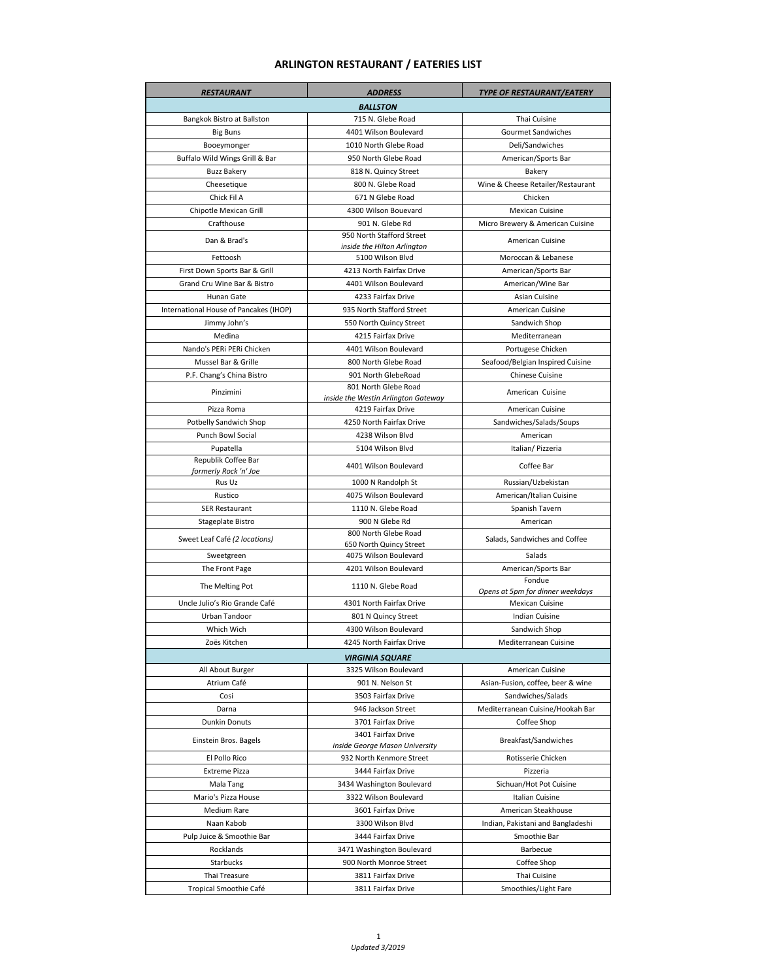## **ARLINGTON RESTAURANT / EATERIES LIST**

| <b>RESTAURANT</b>                      | <b>ADDRESS</b>                                              | <b>TYPE OF RESTAURANT/EATERY</b>  |  |
|----------------------------------------|-------------------------------------------------------------|-----------------------------------|--|
| <b>BALLSTON</b>                        |                                                             |                                   |  |
| Bangkok Bistro at Ballston             | 715 N. Glebe Road                                           | Thai Cuisine                      |  |
| <b>Big Buns</b>                        | 4401 Wilson Boulevard                                       | Gourmet Sandwiches                |  |
| Booeymonger                            | 1010 North Glebe Road                                       | Deli/Sandwiches                   |  |
| Buffalo Wild Wings Grill & Bar         | 950 North Glebe Road                                        | American/Sports Bar               |  |
| <b>Buzz Bakery</b>                     | 818 N. Quincy Street                                        | Bakery                            |  |
| Cheesetique                            | 800 N. Glebe Road                                           | Wine & Cheese Retailer/Restaurant |  |
| Chick Fil A                            | 671 N Glebe Road                                            | Chicken                           |  |
| Chipotle Mexican Grill                 | 4300 Wilson Bouevard                                        | <b>Mexican Cuisine</b>            |  |
| Crafthouse                             | 901 N. Glebe Rd                                             | Micro Brewery & American Cuisine  |  |
| Dan & Brad's                           | 950 North Stafford Street                                   | American Cuisine                  |  |
|                                        | inside the Hilton Arlington                                 |                                   |  |
| Fettoosh                               | 5100 Wilson Blvd                                            | Moroccan & Lebanese               |  |
| First Down Sports Bar & Grill          | 4213 North Fairfax Drive                                    | American/Sports Bar               |  |
| Grand Cru Wine Bar & Bistro            | 4401 Wilson Boulevard                                       | American/Wine Bar                 |  |
| Hunan Gate                             | 4233 Fairfax Drive                                          | Asian Cuisine                     |  |
| International House of Pancakes (IHOP) | 935 North Stafford Street                                   | American Cuisine                  |  |
| Jimmy John's                           | 550 North Quincy Street                                     | Sandwich Shop                     |  |
| Medina                                 | 4215 Fairfax Drive                                          | Mediterranean                     |  |
| Nando's PERi PERi Chicken              | 4401 Wilson Boulevard                                       | Portugese Chicken                 |  |
| Mussel Bar & Grille                    | 800 North Glebe Road                                        | Seafood/Belgian Inspired Cuisine  |  |
| P.F. Chang's China Bistro              | 901 North GlebeRoad                                         | <b>Chinese Cuisine</b>            |  |
| Pinzimini                              | 801 North Glebe Road<br>inside the Westin Arlington Gateway | American Cuisine                  |  |
| Pizza Roma                             | 4219 Fairfax Drive                                          | American Cuisine                  |  |
| Potbelly Sandwich Shop                 | 4250 North Fairfax Drive                                    | Sandwiches/Salads/Soups           |  |
| Punch Bowl Social                      | 4238 Wilson Blvd                                            | American                          |  |
| Pupatella                              | 5104 Wilson Blvd                                            | Italian/Pizzeria                  |  |
| Republik Coffee Bar                    |                                                             |                                   |  |
| formerly Rock 'n' Joe                  | 4401 Wilson Boulevard                                       | Coffee Bar                        |  |
| Rus Uz                                 | 1000 N Randolph St                                          | Russian/Uzbekistan                |  |
| Rustico                                | 4075 Wilson Boulevard                                       | American/Italian Cuisine          |  |
| <b>SER Restaurant</b>                  | 1110 N. Glebe Road                                          | Spanish Tavern                    |  |
| Stageplate Bistro                      | 900 N Glebe Rd                                              | American                          |  |
| Sweet Leaf Café (2 locations)          | 800 North Glebe Road                                        | Salads, Sandwiches and Coffee     |  |
| Sweetgreen                             | 650 North Quincy Street<br>4075 Wilson Boulevard            | Salads                            |  |
| The Front Page                         | 4201 Wilson Boulevard                                       | American/Sports Bar               |  |
|                                        |                                                             | Fondue                            |  |
| The Melting Pot                        | 1110 N. Glebe Road                                          | Opens at 5pm for dinner weekdays  |  |
| Uncle Julio's Rio Grande Café          | 4301 North Fairfax Drive                                    | <b>Mexican Cuisine</b>            |  |
| Urban Tandoor                          | 801 N Quincy Street                                         | <b>Indian Cuisine</b>             |  |
| Which Wich                             | 4300 Wilson Boulevard                                       | Sandwich Shop                     |  |
| Zoës Kitchen                           | 4245 North Fairfax Drive                                    | Mediterranean Cuisine             |  |
| <b>VIRGINIA SQUARE</b>                 |                                                             |                                   |  |
| All About Burger                       | 3325 Wilson Boulevard                                       | American Cuisine                  |  |
| Atrium Café                            | 901 N. Nelson St                                            | Asian-Fusion, coffee, beer & wine |  |
| Cosi                                   | 3503 Fairfax Drive                                          | Sandwiches/Salads                 |  |
| Darna                                  | 946 Jackson Street                                          | Mediterranean Cuisine/Hookah Bar  |  |
| <b>Dunkin Donuts</b>                   | 3701 Fairfax Drive                                          | Coffee Shop                       |  |
| Einstein Bros. Bagels                  | 3401 Fairfax Drive                                          | Breakfast/Sandwiches              |  |
|                                        | inside George Mason University                              |                                   |  |
| El Pollo Rico                          | 932 North Kenmore Street                                    | Rotisserie Chicken                |  |
| <b>Extreme Pizza</b>                   | 3444 Fairfax Drive                                          | Pizzeria                          |  |
| Mala Tang                              | 3434 Washington Boulevard                                   | Sichuan/Hot Pot Cuisine           |  |
| Mario's Pizza House                    | 3322 Wilson Boulevard                                       | Italian Cuisine                   |  |
| Medium Rare                            | 3601 Fairfax Drive                                          | American Steakhouse               |  |
| Naan Kabob                             | 3300 Wilson Blvd                                            | Indian, Pakistani and Bangladeshi |  |
| Pulp Juice & Smoothie Bar              | 3444 Fairfax Drive                                          | Smoothie Bar                      |  |
| Rocklands                              | 3471 Washington Boulevard                                   | Barbecue                          |  |
| Starbucks                              | 900 North Monroe Street                                     | Coffee Shop                       |  |
| Thai Treasure                          | 3811 Fairfax Drive                                          | Thai Cuisine                      |  |
| Tropical Smoothie Café                 | 3811 Fairfax Drive                                          | Smoothies/Light Fare              |  |